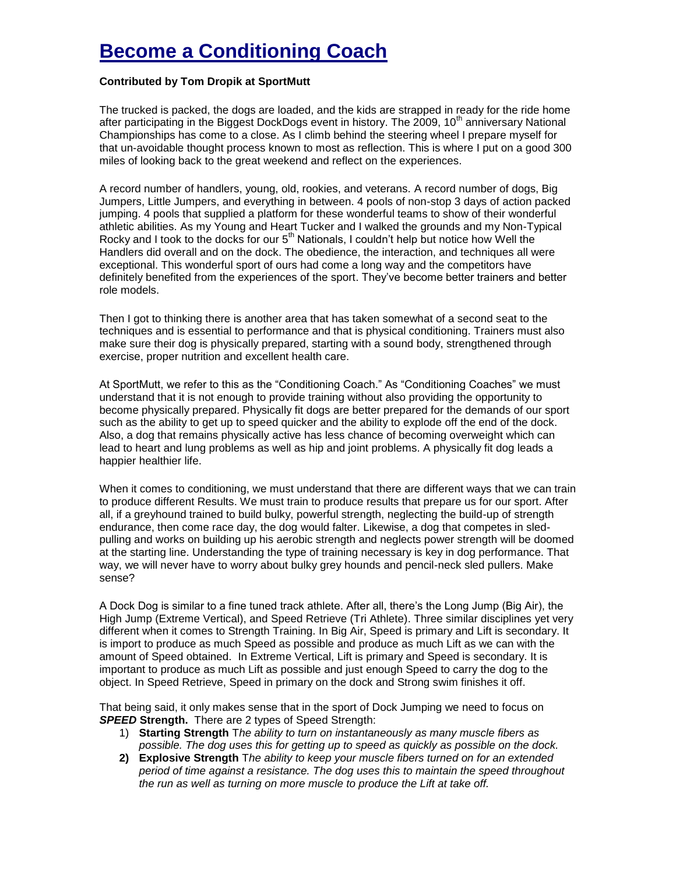## **Become a Conditioning Coach**

## **Contributed by Tom Dropik at SportMutt**

The trucked is packed, the dogs are loaded, and the kids are strapped in ready for the ride home after participating in the Biggest DockDogs event in history. The 2009, 10<sup>th</sup> anniversary National Championships has come to a close. As I climb behind the steering wheel I prepare myself for that un-avoidable thought process known to most as reflection. This is where I put on a good 300 miles of looking back to the great weekend and reflect on the experiences.

A record number of handlers, young, old, rookies, and veterans. A record number of dogs, Big Jumpers, Little Jumpers, and everything in between. 4 pools of non-stop 3 days of action packed jumping. 4 pools that supplied a platform for these wonderful teams to show of their wonderful athletic abilities. As my Young and Heart Tucker and I walked the grounds and my Non-Typical Rocky and I took to the docks for our  $5<sup>th</sup>$  Nationals, I couldn't help but notice how Well the Handlers did overall and on the dock. The obedience, the interaction, and techniques all were exceptional. This wonderful sport of ours had come a long way and the competitors have definitely benefited from the experiences of the sport. They've become better trainers and better role models.

Then I got to thinking there is another area that has taken somewhat of a second seat to the techniques and is essential to performance and that is physical conditioning. Trainers must also make sure their dog is physically prepared, starting with a sound body, strengthened through exercise, proper nutrition and excellent health care.

At SportMutt, we refer to this as the "Conditioning Coach." As "Conditioning Coaches" we must understand that it is not enough to provide training without also providing the opportunity to become physically prepared. Physically fit dogs are better prepared for the demands of our sport such as the ability to get up to speed quicker and the ability to explode off the end of the dock. Also, a dog that remains physically active has less chance of becoming overweight which can lead to heart and lung problems as well as hip and joint problems. A physically fit dog leads a happier healthier life.

When it comes to conditioning, we must understand that there are different ways that we can train to produce different Results. We must train to produce results that prepare us for our sport. After all, if a greyhound trained to build bulky, powerful strength, neglecting the build-up of strength endurance, then come race day, the dog would falter. Likewise, a dog that competes in sledpulling and works on building up his aerobic strength and neglects power strength will be doomed at the starting line. Understanding the type of training necessary is key in dog performance. That way, we will never have to worry about bulky grey hounds and pencil-neck sled pullers. Make sense?

A Dock Dog is similar to a fine tuned track athlete. After all, there's the Long Jump (Big Air), the High Jump (Extreme Vertical), and Speed Retrieve (Tri Athlete). Three similar disciplines yet very different when it comes to Strength Training. In Big Air, Speed is primary and Lift is secondary. It is import to produce as much Speed as possible and produce as much Lift as we can with the amount of Speed obtained. In Extreme Vertical, Lift is primary and Speed is secondary. It is important to produce as much Lift as possible and just enough Speed to carry the dog to the object. In Speed Retrieve, Speed in primary on the dock and Strong swim finishes it off.

That being said, it only makes sense that in the sport of Dock Jumping we need to focus on *SPEED* **Strength.** There are 2 types of Speed Strength:

- 1) **Starting Strength** T*he ability to turn on instantaneously as many muscle fibers as possible. The dog uses this for getting up to speed as quickly as possible on the dock.*
- **2) Explosive Strength** T*he ability to keep your muscle fibers turned on for an extended period of time against a resistance. The dog uses this to maintain the speed throughout the run as well as turning on more muscle to produce the Lift at take off.*